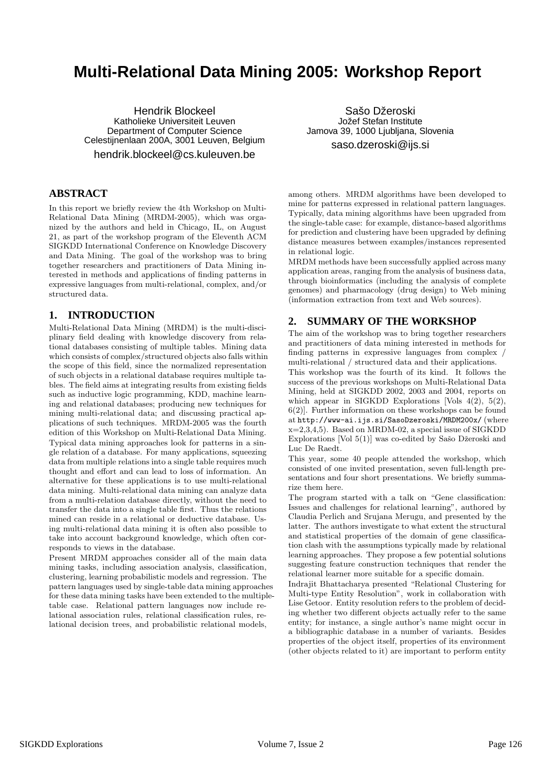# **Multi-Relational Data Mining 2005: Workshop Report**

Hendrik Blockeel Katholieke Universiteit Leuven Department of Computer Science Celestijnenlaan 200A, 3001 Leuven, Belgium hendrik.blockeel@cs.kuleuven.be

### **ABSTRACT**

In this report we briefly review the 4th Workshop on Multi-Relational Data Mining (MRDM-2005), which was organized by the authors and held in Chicago, IL, on August 21, as part of the workshop program of the Eleventh ACM SIGKDD International Conference on Knowledge Discovery and Data Mining. The goal of the workshop was to bring together researchers and practitioners of Data Mining interested in methods and applications of finding patterns in expressive languages from multi-relational, complex, and/or structured data.

#### **1. INTRODUCTION**

Multi-Relational Data Mining (MRDM) is the multi-disciplinary field dealing with knowledge discovery from relational databases consisting of multiple tables. Mining data which consists of complex/structured objects also falls within the scope of this field, since the normalized representation of such objects in a relational database requires multiple tables. The field aims at integrating results from existing fields such as inductive logic programming, KDD, machine learning and relational databases; producing new techniques for mining multi-relational data; and discussing practical applications of such techniques. MRDM-2005 was the fourth edition of this Workshop on Multi-Relational Data Mining. Typical data mining approaches look for patterns in a single relation of a database. For many applications, squeezing data from multiple relations into a single table requires much thought and effort and can lead to loss of information. An alternative for these applications is to use multi-relational data mining. Multi-relational data mining can analyze data from a multi-relation database directly, without the need to transfer the data into a single table first. Thus the relations mined can reside in a relational or deductive database. Using multi-relational data mining it is often also possible to take into account background knowledge, which often corresponds to views in the database.

Present MRDM approaches consider all of the main data mining tasks, including association analysis, classification, clustering, learning probabilistic models and regression. The pattern languages used by single-table data mining approaches for these data mining tasks have been extended to the multipletable case. Relational pattern languages now include relational association rules, relational classification rules, relational decision trees, and probabilistic relational models,

Sašo Džeroski Jožef Stefan Institute Jamova 39, 1000 Ljubljana, Slovenia saso.dzeroski@ijs.si

among others. MRDM algorithms have been developed to mine for patterns expressed in relational pattern languages. Typically, data mining algorithms have been upgraded from the single-table case: for example, distance-based algorithms for prediction and clustering have been upgraded by defining distance measures between examples/instances represented in relational logic.

MRDM methods have been successfully applied across many application areas, ranging from the analysis of business data, through bioinformatics (including the analysis of complete genomes) and pharmacology (drug design) to Web mining (information extraction from text and Web sources).

## **2. SUMMARY OF THE WORKSHOP**

The aim of the workshop was to bring together researchers and practitioners of data mining interested in methods for finding patterns in expressive languages from complex / multi-relational / structured data and their applications.

This workshop was the fourth of its kind. It follows the success of the previous workshops on Multi-Relational Data Mining, held at SIGKDD 2002, 2003 and 2004, reports on which appear in SIGKDD Explorations [Vols 4(2), 5(2), 6(2)]. Further information on these workshops can be found at http://www-ai.ijs.si/SasoDzeroski/MRDM200x/ (where x=2,3,4,5). Based on MRDM-02, a special issue of SIGKDD Explorations  $[Vol 5(1)]$  was co-edited by Sašo Džeroski and Luc De Raedt.

This year, some 40 people attended the workshop, which consisted of one invited presentation, seven full-length presentations and four short presentations. We briefly summarize them here.

The program started with a talk on "Gene classification: Issues and challenges for relational learning", authored by Claudia Perlich and Srujana Merugu, and presented by the latter. The authors investigate to what extent the structural and statistical properties of the domain of gene classification clash with the assumptions typically made by relational learning approaches. They propose a few potential solutions suggesting feature construction techniques that render the relational learner more suitable for a specific domain.

Indrajit Bhattacharya presented "Relational Clustering for Multi-type Entity Resolution", work in collaboration with Lise Getoor. Entity resolution refers to the problem of deciding whether two different objects actually refer to the same entity; for instance, a single author's name might occur in a bibliographic database in a number of variants. Besides properties of the object itself, properties of its environment (other objects related to it) are important to perform entity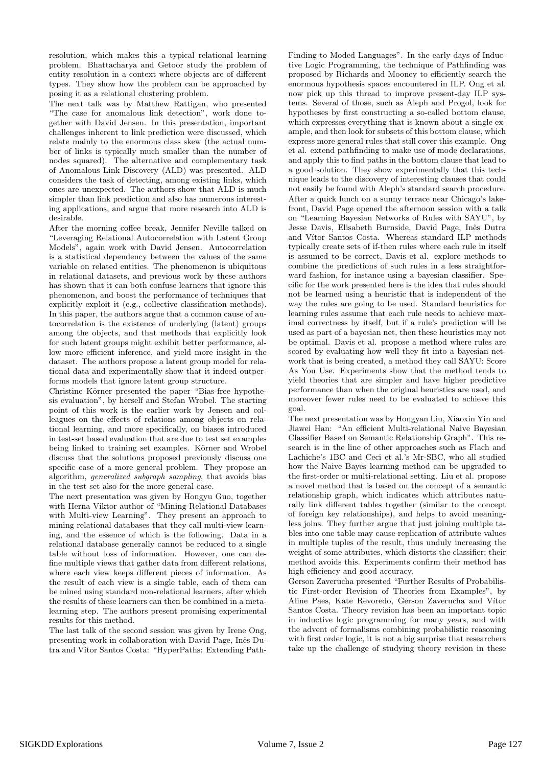resolution, which makes this a typical relational learning problem. Bhattacharya and Getoor study the problem of entity resolution in a context where objects are of different types. They show how the problem can be approached by posing it as a relational clustering problem.

The next talk was by Matthew Rattigan, who presented "The case for anomalous link detection", work done together with David Jensen. In this presentation, important challenges inherent to link prediction were discussed, which relate mainly to the enormous class skew (the actual number of links is typically much smaller than the number of nodes squared). The alternative and complementary task of Anomalous Link Discovery (ALD) was presented. ALD considers the task of detecting, among existing links, which ones are unexpected. The authors show that ALD is much simpler than link prediction and also has numerous interesting applications, and argue that more research into ALD is desirable.

After the morning coffee break, Jennifer Neville talked on "Leveraging Relational Autocorrelation with Latent Group Models", again work with David Jensen. Autocorrelation is a statistical dependency between the values of the same variable on related entities. The phenomenon is ubiquitous in relational datasets, and previous work by these authors has shown that it can both confuse learners that ignore this phenomenon, and boost the performance of techniques that explicitly exploit it (e.g., collective classification methods). In this paper, the authors argue that a common cause of autocorrelation is the existence of underlying (latent) groups among the objects, and that methods that explicitly look for such latent groups might exhibit better performance, allow more efficient inference, and yield more insight in the dataset. The authors propose a latent group model for relational data and experimentally show that it indeed outperforms models that ignore latent group structure.

Christine Körner presented the paper "Bias-free hypothesis evaluation", by herself and Stefan Wrobel. The starting point of this work is the earlier work by Jensen and colleagues on the effects of relations among objects on relational learning, and more specifically, on biases introduced in test-set based evaluation that are due to test set examples being linked to training set examples. Körner and Wrobel discuss that the solutions proposed previously discuss one specific case of a more general problem. They propose an algorithm, generalized subgraph sampling, that avoids bias in the test set also for the more general case.

The next presentation was given by Hongyu Guo, together with Herna Viktor author of "Mining Relational Databases with Multi-view Learning". They present an approach to mining relational databases that they call multi-view learning, and the essence of which is the following. Data in a relational database generally cannot be reduced to a single table without loss of information. However, one can define multiple views that gather data from different relations, where each view keeps different pieces of information. As the result of each view is a single table, each of them can be mined using standard non-relational learners, after which the results of these learners can then be combined in a metalearning step. The authors present promising experimental results for this method.

The last talk of the second session was given by Irene Ong, presenting work in collaboration with David Page, Inês Dutra and Vítor Santos Costa: "HyperPaths: Extending Path-

Finding to Moded Languages". In the early days of Inductive Logic Programming, the technique of Pathfinding was proposed by Richards and Mooney to efficiently search the enormous hypothesis spaces encountered in ILP. Ong et al. now pick up this thread to improve present-day ILP systems. Several of those, such as Aleph and Progol, look for hypotheses by first constructing a so-called bottom clause, which expresses everything that is known about a single example, and then look for subsets of this bottom clause, which express more general rules that still cover this example. Ong et al. extend pathfinding to make use of mode declarations, and apply this to find paths in the bottom clause that lead to a good solution. They show experimentally that this technique leads to the discovery of interesting clauses that could not easily be found with Aleph's standard search procedure. After a quick lunch on a sunny terrace near Chicago's lakefront, David Page opened the afternoon session with a talk on "Learning Bayesian Networks of Rules with SAYU", by Jesse Davis, Elisabeth Burnside, David Page, Inês Dutra and Vítor Santos Costa. Whereas standard ILP methods typically create sets of if-then rules where each rule in itself is assumed to be correct, Davis et al. explore methods to combine the predictions of such rules in a less straightforward fashion, for instance using a bayesian classifier. Specific for the work presented here is the idea that rules should not be learned using a heuristic that is independent of the way the rules are going to be used. Standard heuristics for learning rules assume that each rule needs to achieve maximal correctness by itself, but if a rule's prediction will be used as part of a bayesian net, then these heuristics may not be optimal. Davis et al. propose a method where rules are scored by evaluating how well they fit into a bayesian network that is being created, a method they call SAYU: Score As You Use. Experiments show that the method tends to yield theories that are simpler and have higher predictive performance than when the original heuristics are used, and moreover fewer rules need to be evaluated to achieve this goal.

The next presentation was by Hongyan Liu, Xiaoxin Yin and Jiawei Han: "An efficient Multi-relational Naive Bayesian Classifier Based on Semantic Relationship Graph". This research is in the line of other approaches such as Flach and Lachiche's 1BC and Ceci et al.'s Mr-SBC, who all studied how the Naive Bayes learning method can be upgraded to the first-order or multi-relational setting. Liu et al. propose a novel method that is based on the concept of a semantic relationship graph, which indicates which attributes naturally link different tables together (similar to the concept of foreign key relationships), and helps to avoid meaningless joins. They further argue that just joining multiple tables into one table may cause replication of attribute values in multiple tuples of the result, thus unduly increasing the weight of some attributes, which distorts the classifier; their method avoids this. Experiments confirm their method has high efficiency and good accuracy.

Gerson Zaverucha presented "Further Results of Probabilistic First-order Revision of Theories from Examples", by Aline Paes, Kate Revoredo, Gerson Zaverucha and Vítor Santos Costa. Theory revision has been an important topic in inductive logic programming for many years, and with the advent of formalisms combining probabilistic reasoning with first order logic, it is not a big surprise that researchers take up the challenge of studying theory revision in these